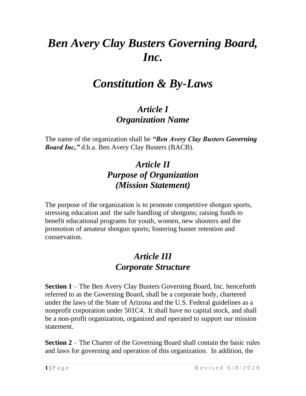# *Ben Avery Clay Busters Governing Board, Inc.*

# *Constitution & By-Laws*

#### *Article I Organization Name*

The name of the organization shall be *"Ben Avery Clay Busters Governing Board Inc,"* d.b.a. Ben Avery Clay Busters (BACB).

#### *Article II Purpose of Organization (Mission Statement)*

The purpose of the organization is to promote competitive shotgun sports, stressing education and the safe handling of shotguns; raising funds to benefit educational programs for youth, women, new shooters and the promotion of amateur shotgun sports; fostering hunter retention and conservation.

#### *Article III Corporate Structure*

**Section 1** – The Ben Avery Clay Busters Governing Board, Inc. henceforth referred to as the Governing Board, shall be a corporate body, chartered under the laws of the State of Arizona and the U.S. Federal guidelines as a nonprofit corporation under 501C4. It shall have no capital stock, and shall be a non-profit organization, organized and operated to support our mission statement.

**Section 2** – The Charter of the Governing Board shall contain the basic rules and laws for governing and operation of this organization. In addition, the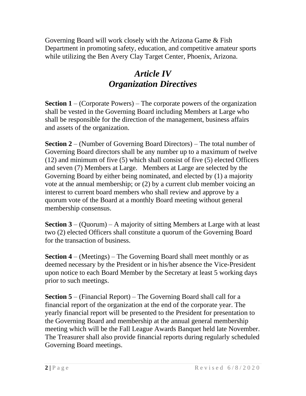Governing Board will work closely with the Arizona Game & Fish Department in promoting safety, education, and competitive amateur sports while utilizing the Ben Avery Clay Target Center, Phoenix, Arizona.

#### *Article IV Organization Directives*

**Section 1** – (Corporate Powers) – The corporate powers of the organization shall be vested in the Governing Board including Members at Large who shall be responsible for the direction of the management, business affairs and assets of the organization.

**Section 2** – (Number of Governing Board Directors) – The total number of Governing Board directors shall be any number up to a maximum of twelve (12) and minimum of five (5) which shall consist of five (5) elected Officers and seven (7) Members at Large. Members at Large are selected by the Governing Board by either being nominated, and elected by (1) a majority vote at the annual membership; or (2) by a current club member voicing an interest to current board members who shall review and approve by a quorum vote of the Board at a monthly Board meeting without general membership consensus.

**Section 3** – (Quorum) – A majority of sitting Members at Large with at least two (2) elected Officers shall constitute a quorum of the Governing Board for the transaction of business.

**Section 4** – (Meetings) – The Governing Board shall meet monthly or as deemed necessary by the President or in his/her absence the Vice-President upon notice to each Board Member by the Secretary at least 5 working days prior to such meetings.

**Section 5** – (Financial Report) – The Governing Board shall call for a financial report of the organization at the end of the corporate year. The yearly financial report will be presented to the President for presentation to the Governing Board and membership at the annual general membership meeting which will be the Fall League Awards Banquet held late November. The Treasurer shall also provide financial reports during regularly scheduled Governing Board meetings.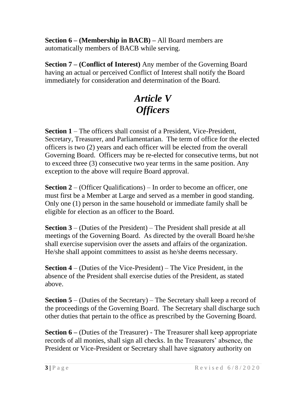**Section 6 – (Membership in BACB) –** All Board members are automatically members of BACB while serving.

**Section 7 – (Conflict of Interest)** Any member of the Governing Board having an actual or perceived Conflict of Interest shall notify the Board immediately for consideration and determination of the Board.

# *Article V Officers*

**Section 1** – The officers shall consist of a President, Vice-President, Secretary, Treasurer, and Parliamentarian. The term of office for the elected officers is two (2) years and each officer will be elected from the overall Governing Board. Officers may be re-elected for consecutive terms, but not to exceed three (3) consecutive two year terms in the same position. Any exception to the above will require Board approval.

**Section 2** – (Officer Qualifications) – In order to become an officer, one must first be a Member at Large and served as a member in good standing. Only one (1) person in the same household or immediate family shall be eligible for election as an officer to the Board.

**Section 3** – (Duties of the President) – The President shall preside at all meetings of the Governing Board. As directed by the overall Board he/she shall exercise supervision over the assets and affairs of the organization. He/she shall appoint committees to assist as he/she deems necessary.

**Section 4** – (Duties of the Vice-President) – The Vice President, in the absence of the President shall exercise duties of the President, as stated above.

**Section 5** – (Duties of the Secretary) – The Secretary shall keep a record of the proceedings of the Governing Board. The Secretary shall discharge such other duties that pertain to the office as prescribed by the Governing Board.

**Section 6 –** (Duties of the Treasurer) - The Treasurer shall keep appropriate records of all monies, shall sign all checks. In the Treasurers' absence, the President or Vice-President or Secretary shall have signatory authority on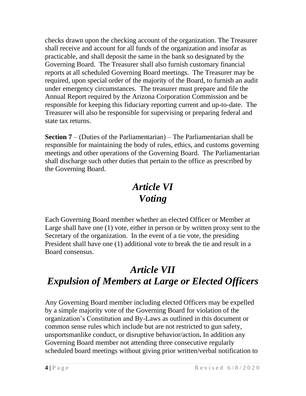checks drawn upon the checking account of the organization. The Treasurer shall receive and account for all funds of the organization and insofar as practicable, and shall deposit the same in the bank so designated by the Governing Board. The Treasurer shall also furnish customary financial reports at all scheduled Governing Board meetings. The Treasurer may be required, upon special order of the majority of the Board, to furnish an audit under emergency circumstances. The treasurer must prepare and file the Annual Report required by the Arizona Corporation Commission and be responsible for keeping this fiduciary reporting current and up-to-date. The Treasurer will also be responsible for supervising or preparing federal and state tax returns.

**Section 7** – (Duties of the Parliamentarian) – The Parliamentarian shall be responsible for maintaining the body of rules, ethics, and customs governing meetings and other operations of the Governing Board. The Parliamentarian shall discharge such other duties that pertain to the office as prescribed by the Governing Board.

# *Article VI Voting*

Each Governing Board member whether an elected Officer or Member at Large shall have one (1) vote, either in person or by written proxy sent to the Secretary of the organization. In the event of a tie vote, the presiding President shall have one (1) additional vote to break the tie and result in a Board consensus.

# *Article VII Expulsion of Members at Large or Elected Officers*

Any Governing Board member including elected Officers may be expelled by a simple majority vote of the Governing Board for violation of the organization's Constitution and By-Laws as outlined in this document or common sense rules which include but are not restricted to gun safety, unsportsmanlike conduct, or disruptive behavior/action**.** In addition any Governing Board member not attending three consecutive regularly scheduled board meetings without giving prior written/verbal notification to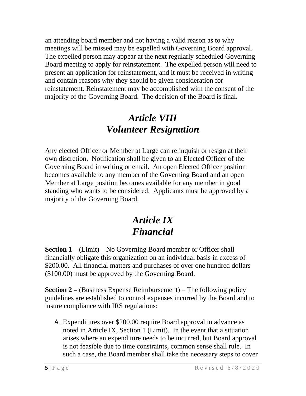an attending board member and not having a valid reason as to why meetings will be missed may be expelled with Governing Board approval. The expelled person may appear at the next regularly scheduled Governing Board meeting to apply for reinstatement. The expelled person will need to present an application for reinstatement, and it must be received in writing and contain reasons why they should be given consideration for reinstatement. Reinstatement may be accomplished with the consent of the majority of the Governing Board. The decision of the Board is final.

# *Article VIII Volunteer Resignation*

Any elected Officer or Member at Large can relinquish or resign at their own discretion. Notification shall be given to an Elected Officer of the Governing Board in writing or email. An open Elected Officer position becomes available to any member of the Governing Board and an open Member at Large position becomes available for any member in good standing who wants to be considered. Applicants must be approved by a majority of the Governing Board.

# *Article IX Financial*

**Section 1** – (Limit) – No Governing Board member or Officer shall financially obligate this organization on an individual basis in excess of \$200.00. All financial matters and purchases of over one hundred dollars (\$100.00) must be approved by the Governing Board.

**Section 2 –** (Business Expense Reimbursement) – The following policy guidelines are established to control expenses incurred by the Board and to insure compliance with IRS regulations:

A. Expenditures over \$200.00 require Board approval in advance as noted in Article IX, Section 1 (Limit). In the event that a situation arises where an expenditure needs to be incurred, but Board approval is not feasible due to time constraints, common sense shall rule. In such a case, the Board member shall take the necessary steps to cover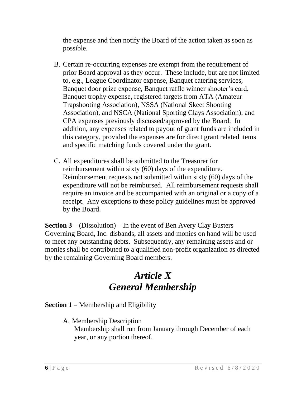the expense and then notify the Board of the action taken as soon as possible.

- B. Certain re-occurring expenses are exempt from the requirement of prior Board approval as they occur. These include, but are not limited to, e.g., League Coordinator expense, Banquet catering services, Banquet door prize expense, Banquet raffle winner shooter's card, Banquet trophy expense, registered targets from ATA (Amateur Trapshooting Association), NSSA (National Skeet Shooting Association), and NSCA (National Sporting Clays Association), and CPA expenses previously discussed/approved by the Board. In addition, any expenses related to payout of grant funds are included in this category, provided the expenses are for direct grant related items and specific matching funds covered under the grant.
- C. All expenditures shall be submitted to the Treasurer for reimbursement within sixty (60) days of the expenditure. Reimbursement requests not submitted within sixty (60) days of the expenditure will not be reimbursed. All reimbursement requests shall require an invoice and be accompanied with an original or a copy of a receipt. Any exceptions to these policy guidelines must be approved by the Board.

**Section 3** – (Dissolution) – In the event of Ben Avery Clay Busters Governing Board, Inc. disbands, all assets and monies on hand will be used to meet any outstanding debts. Subsequently, any remaining assets and or monies shall be contributed to a qualified non-profit organization as directed by the remaining Governing Board members.

# *Article X General Membership*

**Section 1** – Membership and Eligibility

A. Membership Description Membership shall run from January through December of each year, or any portion thereof.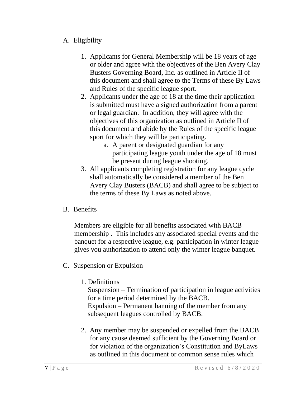#### A. Eligibility

- 1. Applicants for General Membership will be 18 years of age or older and agree with the objectives of the Ben Avery Clay Busters Governing Board, Inc. as outlined in Article II of this document and shall agree to the Terms of these By Laws and Rules of the specific league sport.
- 2. Applicants under the age of 18 at the time their application is submitted must have a signed authorization from a parent or legal guardian. In addition, they will agree with the objectives of this organization as outlined in Article II of this document and abide by the Rules of the specific league sport for which they will be participating.
	- a. A parent or designated guardian for any participating league youth under the age of 18 must be present during league shooting.
- 3. All applicants completing registration for any league cycle shall automatically be considered a member of the Ben Avery Clay Busters (BACB) and shall agree to be subject to the terms of these By Laws as noted above.
- B. Benefits

Members are eligible for all benefits associated with BACB membership . This includes any associated special events and the banquet for a respective league, e.g. participation in winter league gives you authorization to attend only the winter league banquet.

- C. Suspension or Expulsion
	- 1. Definitions

Suspension – Termination of participation in league activities for a time period determined by the BACB. Expulsion – Permanent banning of the member from any subsequent leagues controlled by BACB.

2. Any member may be suspended or expelled from the BACB for any cause deemed sufficient by the Governing Board or for violation of the organization's Constitution and ByLaws as outlined in this document or common sense rules which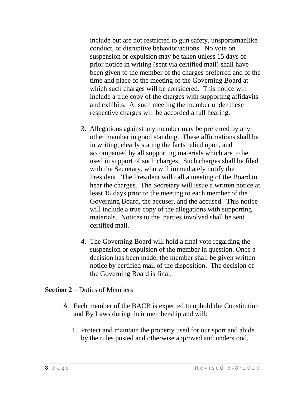include but are not restricted to gun safety, unsportsmanlike conduct, or disruptive behavior/actions. No vote on suspension or expulsion may be taken unless 15 days of prior notice in writing (sent via certified mail) shall have been given to the member of the charges preferred and of the time and place of the meeting of the Governing Board at which such charges will be considered. This notice will include a true copy of the charges with supporting affidavits and exhibits. At such meeting the member under these respective charges will be accorded a full hearing.

- 3. Allegations against any member may be preferred by any other member in good standing. These affirmations shall be in writing, clearly stating the facts relied upon, and accompanied by all supporting materials which are to be used in support of such charges. Such charges shall be filed with the Secretary, who will immediately notify the President. The President will call a meeting of the Board to hear the charges. The Secretary will issue a written notice at least 15 days prior to the meeting to each member of the Governing Board, the accuser, and the accused. This notice will include a true copy of the allegations with supporting materials. Notices to the parties involved shall be sent certified mail.
- 4. The Governing Board will hold a final vote regarding the suspension or expulsion of the member in question. Once a decision has been made, the member shall be given written notice by certified mail of the disposition. The decision of the Governing Board is final.

#### **Section 2** – Duties of Members

- A. Each member of the BACB is expected to uphold the Constitution and By Laws during their membership and will:
	- 1. Protect and maintain the property used for our sport and abide by the rules posted and otherwise approved and understood.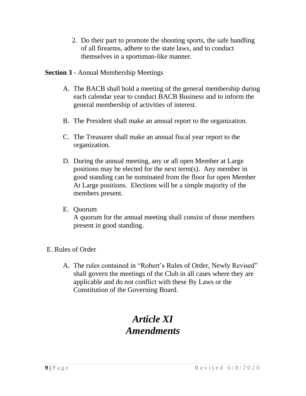2. Do their part to promote the shooting sports, the safe handling of all firearms, adhere to the state laws, and to conduct themselves in a sportsman-like manner.

#### **Section 3** - Annual Membership Meetings

- A. The BACB shall hold a meeting of the general membership during each calendar year to conduct BACB Business and to inform the general membership of activities of interest.
- B. The President shall make an annual report to the organization.
- C. The Treasurer shall make an annual fiscal year report to the organization.
- D. During the annual meeting, any or all open Member at Large positions may be elected for the next term(s). Any member in good standing can be nominated from the floor for open Member At Large positions. Elections will be a simple majority of the members present.
- E. Quorum

A quorum for the annual meeting shall consist of those members present in good standing.

#### E. Rules of Order

A. The rules contained in "Robert's Rules of Order, Newly Revised" shall govern the meetings of the Club in all cases where they are applicable and do not conflict with these By Laws or the Constitution of the Governing Board.

# *Article XI Amendments*